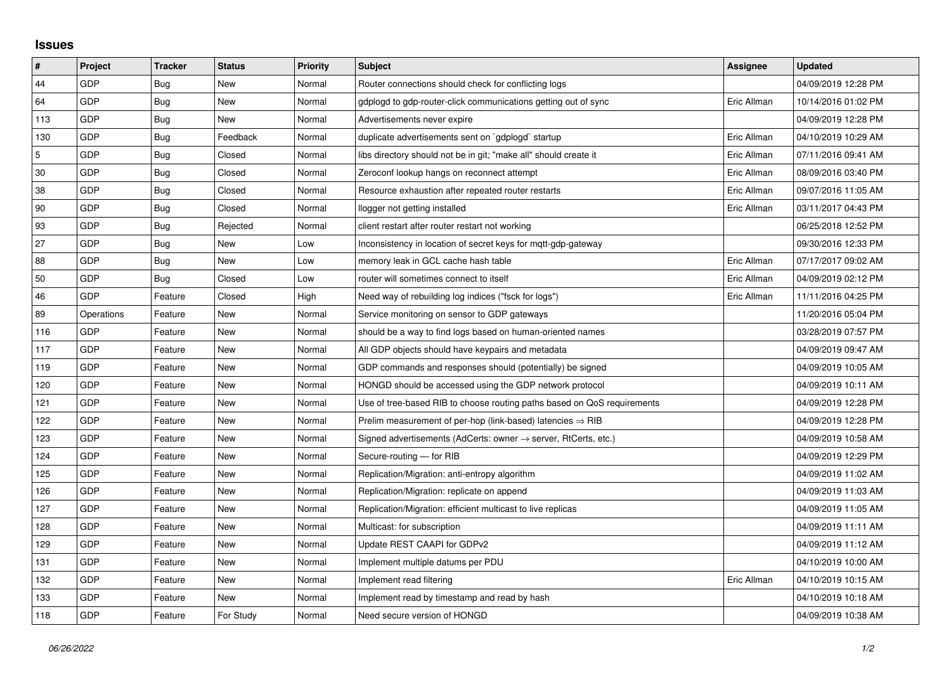## **Issues**

| #           | Project    | <b>Tracker</b> | <b>Status</b> | <b>Priority</b> | <b>Subject</b>                                                             | Assignee    | <b>Updated</b>      |
|-------------|------------|----------------|---------------|-----------------|----------------------------------------------------------------------------|-------------|---------------------|
| 44          | GDP        | Bug            | <b>New</b>    | Normal          | Router connections should check for conflicting logs                       |             | 04/09/2019 12:28 PM |
| 64          | GDP        | Bug            | New           | Normal          | gdplogd to gdp-router-click communications getting out of sync             | Eric Allman | 10/14/2016 01:02 PM |
| 113         | GDP        | Bug            | New           | Normal          | Advertisements never expire                                                |             | 04/09/2019 12:28 PM |
| 130         | GDP        | <b>Bug</b>     | Feedback      | Normal          | duplicate advertisements sent on `gdplogd` startup                         | Eric Allman | 04/10/2019 10:29 AM |
| $\mathbf 5$ | GDP        | Bug            | Closed        | Normal          | libs directory should not be in git; "make all" should create it           | Eric Allman | 07/11/2016 09:41 AM |
| 30          | GDP        | <b>Bug</b>     | Closed        | Normal          | Zeroconf lookup hangs on reconnect attempt                                 | Eric Allman | 08/09/2016 03:40 PM |
| 38          | GDP        | <b>Bug</b>     | Closed        | Normal          | Resource exhaustion after repeated router restarts                         | Eric Allman | 09/07/2016 11:05 AM |
| 90          | GDP        | <b>Bug</b>     | Closed        | Normal          | llogger not getting installed                                              | Eric Allman | 03/11/2017 04:43 PM |
| 93          | GDP        | <b>Bug</b>     | Rejected      | Normal          | client restart after router restart not working                            |             | 06/25/2018 12:52 PM |
| 27          | GDP        | Bug            | New           | Low             | Inconsistency in location of secret keys for mqtt-gdp-gateway              |             | 09/30/2016 12:33 PM |
| 88          | GDP        | Bug            | New           | Low             | memory leak in GCL cache hash table                                        | Eric Allman | 07/17/2017 09:02 AM |
| 50          | GDP        | Bug            | Closed        | Low             | router will sometimes connect to itself                                    | Eric Allman | 04/09/2019 02:12 PM |
| 46          | GDP        | Feature        | Closed        | High            | Need way of rebuilding log indices ("fsck for logs")                       | Eric Allman | 11/11/2016 04:25 PM |
| 89          | Operations | Feature        | New           | Normal          | Service monitoring on sensor to GDP gateways                               |             | 11/20/2016 05:04 PM |
| 116         | GDP        | Feature        | <b>New</b>    | Normal          | should be a way to find logs based on human-oriented names                 |             | 03/28/2019 07:57 PM |
| 117         | GDP        | Feature        | New           | Normal          | All GDP objects should have keypairs and metadata                          |             | 04/09/2019 09:47 AM |
| 119         | GDP        | Feature        | New           | Normal          | GDP commands and responses should (potentially) be signed                  |             | 04/09/2019 10:05 AM |
| 120         | GDP        | Feature        | New           | Normal          | HONGD should be accessed using the GDP network protocol                    |             | 04/09/2019 10:11 AM |
| 121         | GDP        | Feature        | New           | Normal          | Use of tree-based RIB to choose routing paths based on QoS requirements    |             | 04/09/2019 12:28 PM |
| 122         | GDP        | Feature        | New           | Normal          | Prelim measurement of per-hop (link-based) latencies $\Rightarrow$ RIB     |             | 04/09/2019 12:28 PM |
| 123         | GDP        | Feature        | New           | Normal          | Signed advertisements (AdCerts: owner $\rightarrow$ server, RtCerts, etc.) |             | 04/09/2019 10:58 AM |
| 124         | GDP        | Feature        | New           | Normal          | Secure-routing - for RIB                                                   |             | 04/09/2019 12:29 PM |
| 125         | GDP        | Feature        | <b>New</b>    | Normal          | Replication/Migration: anti-entropy algorithm                              |             | 04/09/2019 11:02 AM |
| 126         | GDP        | Feature        | New           | Normal          | Replication/Migration: replicate on append                                 |             | 04/09/2019 11:03 AM |
| 127         | GDP        | Feature        | New           | Normal          | Replication/Migration: efficient multicast to live replicas                |             | 04/09/2019 11:05 AM |
| 128         | GDP        | Feature        | New           | Normal          | Multicast: for subscription                                                |             | 04/09/2019 11:11 AM |
| 129         | GDP        | Feature        | New           | Normal          | Update REST CAAPI for GDPv2                                                |             | 04/09/2019 11:12 AM |
| 131         | GDP        | Feature        | New           | Normal          | Implement multiple datums per PDU                                          |             | 04/10/2019 10:00 AM |
| 132         | GDP        | Feature        | New           | Normal          | Implement read filtering                                                   | Eric Allman | 04/10/2019 10:15 AM |
| 133         | GDP        | Feature        | New           | Normal          | Implement read by timestamp and read by hash                               |             | 04/10/2019 10:18 AM |
| 118         | GDP        | Feature        | For Study     | Normal          | Need secure version of HONGD                                               |             | 04/09/2019 10:38 AM |